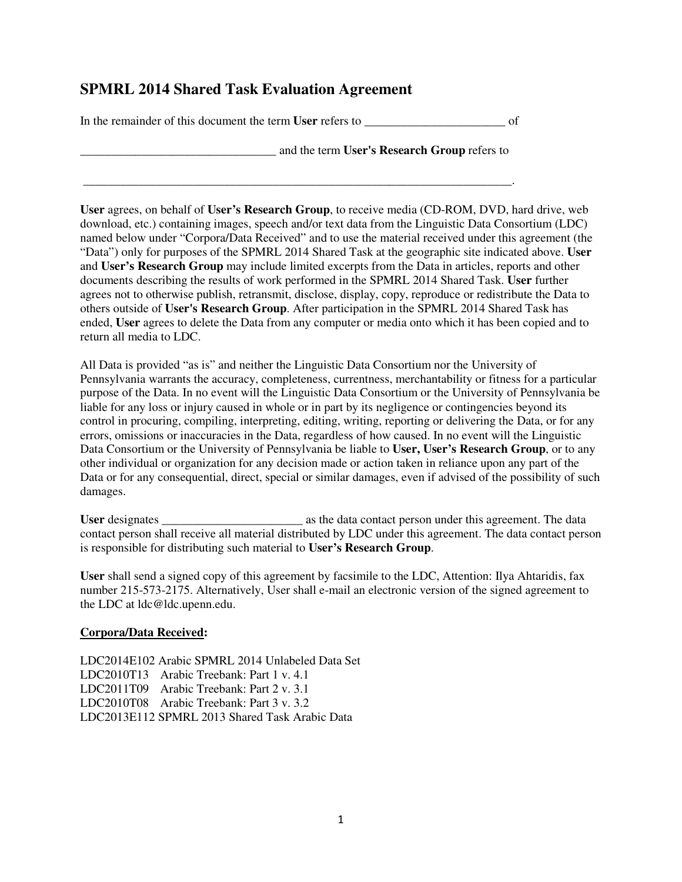## **SPMRL 2014 Shared Task Evaluation Agreement**

In the remainder of this document the term **User** refers to \_\_\_\_\_\_\_\_\_\_\_\_\_\_\_\_\_\_\_\_\_\_\_ of

\_\_\_\_\_\_\_\_\_\_\_\_\_\_\_\_\_\_\_\_\_\_\_\_\_\_\_\_\_\_\_\_\_\_\_\_\_\_\_\_\_\_\_\_\_\_\_\_\_\_\_\_\_\_\_\_\_\_\_\_\_\_\_\_\_\_\_\_\_\_.

\_\_\_\_\_\_\_\_\_\_\_\_\_\_\_\_\_\_\_\_\_\_\_\_\_\_\_\_\_\_\_\_ and the term **User's Research Group** refers to

**User** agrees, on behalf of **User's Research Group**, to receive media (CD-ROM, DVD, hard drive, web download, etc.) containing images, speech and/or text data from the Linguistic Data Consortium (LDC) named below under "Corpora/Data Received" and to use the material received under this agreement (the "Data") only for purposes of the SPMRL 2014 Shared Task at the geographic site indicated above. **User** and **User's Research Group** may include limited excerpts from the Data in articles, reports and other documents describing the results of work performed in the SPMRL 2014 Shared Task. **User** further agrees not to otherwise publish, retransmit, disclose, display, copy, reproduce or redistribute the Data to others outside of **User's Research Group**. After participation in the SPMRL 2014 Shared Task has ended, **User** agrees to delete the Data from any computer or media onto which it has been copied and to return all media to LDC.

All Data is provided "as is" and neither the Linguistic Data Consortium nor the University of Pennsylvania warrants the accuracy, completeness, currentness, merchantability or fitness for a particular purpose of the Data. In no event will the Linguistic Data Consortium or the University of Pennsylvania be liable for any loss or injury caused in whole or in part by its negligence or contingencies beyond its control in procuring, compiling, interpreting, editing, writing, reporting or delivering the Data, or for any errors, omissions or inaccuracies in the Data, regardless of how caused. In no event will the Linguistic Data Consortium or the University of Pennsylvania be liable to **User, User's Research Group**, or to any other individual or organization for any decision made or action taken in reliance upon any part of the Data or for any consequential, direct, special or similar damages, even if advised of the possibility of such damages.

**User** designates \_\_\_\_\_\_\_\_\_\_\_\_\_\_\_\_\_\_\_\_\_\_\_ as the data contact person under this agreement. The data contact person shall receive all material distributed by LDC under this agreement. The data contact person is responsible for distributing such material to **User's Research Group**.

**User** shall send a signed copy of this agreement by facsimile to the LDC, Attention: Ilya Ahtaridis, fax number 215-573-2175. Alternatively, User shall e-mail an electronic version of the signed agreement to the LDC at ldc@ldc.upenn.edu.

## **Corpora/Data Received:**

LDC2014E102 Arabic SPMRL 2014 Unlabeled Data Set LDC2010T13 Arabic Treebank: Part 1 v. 4.1 LDC2011T09 Arabic Treebank: Part 2 v. 3.1 LDC2010T08 Arabic Treebank: Part 3 v. 3.2 LDC2013E112 SPMRL 2013 Shared Task Arabic Data